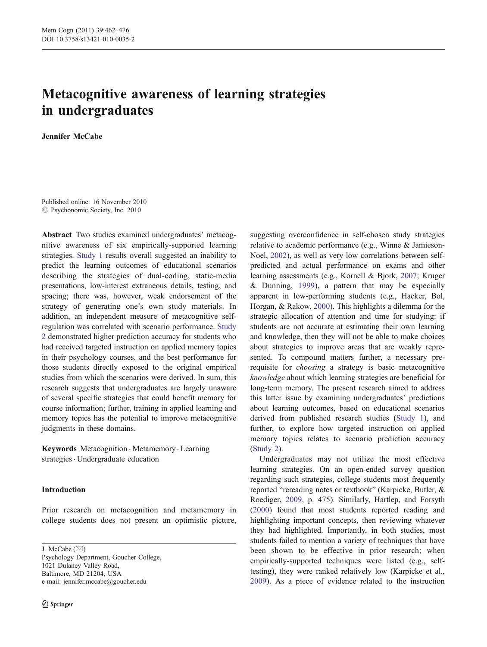# Metacognitive awareness of learning strategies in undergraduates

Jennifer McCabe

Published online: 16 November 2010  $©$  Psychonomic Society, Inc. 2010

Abstract Two studies examined undergraduates' metacognitive awareness of six empirically-supported learning strategies. [Study 1](#page-3-0) results overall suggested an inability to predict the learning outcomes of educational scenarios describing the strategies of dual-coding, static-media presentations, low-interest extraneous details, testing, and spacing; there was, however, weak endorsement of the strategy of generating one's own study materials. In addition, an independent measure of metacognitive selfregulation was correlated with scenario performance. [Study](#page-7-0) [2](#page-7-0) demonstrated higher prediction accuracy for students who had received targeted instruction on applied memory topics in their psychology courses, and the best performance for those students directly exposed to the original empirical studies from which the scenarios were derived. In sum, this research suggests that undergraduates are largely unaware of several specific strategies that could benefit memory for course information; further, training in applied learning and memory topics has the potential to improve metacognitive judgments in these domains.

Keywords Metacognition . Metamemory . Learning strategies. Undergraduate education

## Introduction

Prior research on metacognition and metamemory in college students does not present an optimistic picture,

J. McCabe  $(\boxtimes)$ Psychology Department, Goucher College, 1021 Dulaney Valley Road, Baltimore, MD 21204, USA e-mail: jennifer.mccabe@goucher.edu

suggesting overconfidence in self-chosen study strategies relative to academic performance (e.g., Winne & Jamieson-Noel, [2002\)](#page-14-0), as well as very low correlations between selfpredicted and actual performance on exams and other learning assessments (e.g., Kornell & Bjork, [2007](#page-13-0); Kruger & Dunning, [1999](#page-13-0)), a pattern that may be especially apparent in low-performing students (e.g., Hacker, Bol, Horgan, & Rakow, [2000\)](#page-13-0). This highlights a dilemma for the strategic allocation of attention and time for studying: if students are not accurate at estimating their own learning and knowledge, then they will not be able to make choices about strategies to improve areas that are weakly represented. To compound matters further, a necessary prerequisite for choosing a strategy is basic metacognitive knowledge about which learning strategies are beneficial for long-term memory. The present research aimed to address this latter issue by examining undergraduates' predictions about learning outcomes, based on educational scenarios derived from published research studies ([Study 1\)](#page-3-0), and further, to explore how targeted instruction on applied memory topics relates to scenario prediction accuracy [\(Study 2\)](#page-7-0).

Undergraduates may not utilize the most effective learning strategies. On an open-ended survey question regarding such strategies, college students most frequently reported "rereading notes or textbook" (Karpicke, Butler, & Roediger, [2009](#page-13-0), p. 475). Similarly, Hartlep, and Forsyth [\(2000](#page-13-0)) found that most students reported reading and highlighting important concepts, then reviewing whatever they had highlighted. Importantly, in both studies, most students failed to mention a variety of techniques that have been shown to be effective in prior research; when empirically-supported techniques were listed (e.g., selftesting), they were ranked relatively low (Karpicke et al., [2009](#page-13-0)). As a piece of evidence related to the instruction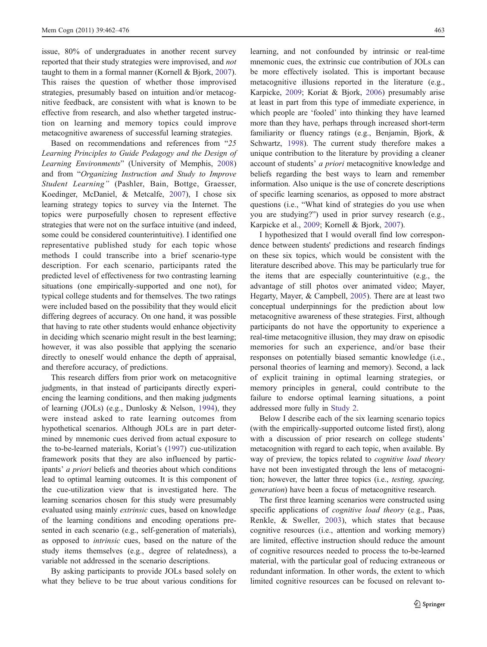issue, 80% of undergraduates in another recent survey reported that their study strategies were improvised, and not taught to them in a formal manner (Kornell & Bjork, [2007](#page-13-0)). This raises the question of whether those improvised strategies, presumably based on intuition and/or metacognitive feedback, are consistent with what is known to be effective from research, and also whether targeted instruction on learning and memory topics could improve metacognitive awareness of successful learning strategies.

Based on recommendations and references from "25 Learning Principles to Guide Pedagogy and the Design of Learning Environments" (University of Memphis, [2008\)](#page-14-0) and from "Organizing Instruction and Study to Improve Student Learning" (Pashler, Bain, Bottge, Graesser, Koedinger, McDaniel, & Metcalfe, [2007](#page-13-0)), I chose six learning strategy topics to survey via the Internet. The topics were purposefully chosen to represent effective strategies that were not on the surface intuitive (and indeed, some could be considered counterintuitive). I identified one representative published study for each topic whose methods I could transcribe into a brief scenario-type description. For each scenario, participants rated the predicted level of effectiveness for two contrasting learning situations (one empirically-supported and one not), for typical college students and for themselves. The two ratings were included based on the possibility that they would elicit differing degrees of accuracy. On one hand, it was possible that having to rate other students would enhance objectivity in deciding which scenario might result in the best learning; however, it was also possible that applying the scenario directly to oneself would enhance the depth of appraisal, and therefore accuracy, of predictions.

This research differs from prior work on metacognitive judgments, in that instead of participants directly experiencing the learning conditions, and then making judgments of learning (JOLs) (e.g., Dunlosky & Nelson, [1994\)](#page-13-0), they were instead asked to rate learning outcomes from hypothetical scenarios. Although JOLs are in part determined by mnemonic cues derived from actual exposure to the to-be-learned materials, Koriat's [\(1997](#page-13-0)) cue-utilization framework posits that they are also influenced by participants' a priori beliefs and theories about which conditions lead to optimal learning outcomes. It is this component of the cue-utilization view that is investigated here. The learning scenarios chosen for this study were presumably evaluated using mainly extrinsic cues, based on knowledge of the learning conditions and encoding operations presented in each scenario (e.g., self-generation of materials), as opposed to intrinsic cues, based on the nature of the study items themselves (e.g., degree of relatedness), a variable not addressed in the scenario descriptions.

By asking participants to provide JOLs based solely on what they believe to be true about various conditions for

learning, and not confounded by intrinsic or real-time mnemonic cues, the extrinsic cue contribution of JOLs can be more effectively isolated. This is important because metacognitive illusions reported in the literature (e.g., Karpicke, [2009](#page-13-0); Koriat & Bjork, [2006](#page-13-0)) presumably arise at least in part from this type of immediate experience, in which people are 'fooled' into thinking they have learned more than they have, perhaps through increased short-term familiarity or fluency ratings (e.g., Benjamin, Bjork, & Schwartz, [1998\)](#page-12-0). The current study therefore makes a unique contribution to the literature by providing a cleaner account of students' a priori metacognitive knowledge and beliefs regarding the best ways to learn and remember information. Also unique is the use of concrete descriptions of specific learning scenarios, as opposed to more abstract questions (i.e., "What kind of strategies do you use when you are studying?") used in prior survey research (e.g., Karpicke et al., [2009](#page-13-0); Kornell & Bjork, [2007\)](#page-13-0).

I hypothesized that I would overall find low correspondence between students' predictions and research findings on these six topics, which would be consistent with the literature described above. This may be particularly true for the items that are especially counterintuitive (e.g., the advantage of still photos over animated video; Mayer, Hegarty, Mayer, & Campbell, [2005\)](#page-13-0). There are at least two conceptual underpinnings for the prediction about low metacognitive awareness of these strategies. First, although participants do not have the opportunity to experience a real-time metacognitive illusion, they may draw on episodic memories for such an experience, and/or base their responses on potentially biased semantic knowledge (i.e., personal theories of learning and memory). Second, a lack of explicit training in optimal learning strategies, or memory principles in general, could contribute to the failure to endorse optimal learning situations, a point addressed more fully in [Study 2](#page-7-0).

Below I describe each of the six learning scenario topics (with the empirically-supported outcome listed first), along with a discussion of prior research on college students' metacognition with regard to each topic, when available. By way of preview, the topics related to *cognitive load theory* have not been investigated through the lens of metacognition; however, the latter three topics (i.e., testing, spacing, generation) have been a focus of metacognitive research.

The first three learning scenarios were constructed using specific applications of cognitive load theory (e.g., Paas, Renkle, & Sweller, [2003](#page-13-0)), which states that because cognitive resources (i.e., attention and working memory) are limited, effective instruction should reduce the amount of cognitive resources needed to process the to-be-learned material, with the particular goal of reducing extraneous or redundant information. In other words, the extent to which limited cognitive resources can be focused on relevant to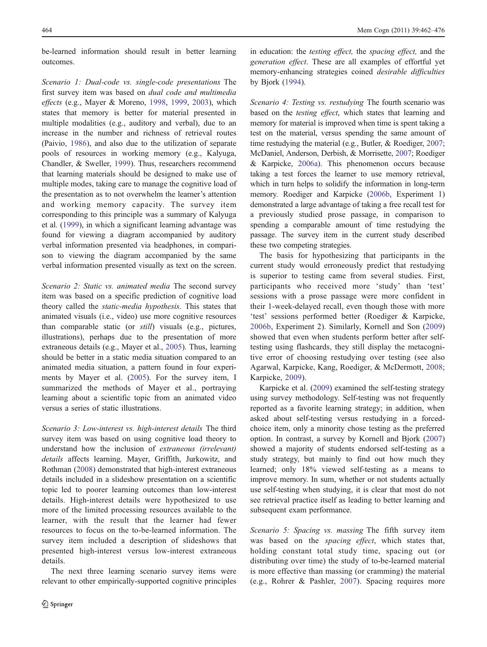be-learned information should result in better learning outcomes.

Scenario 1: Dual-code vs. single-code presentations The first survey item was based on dual code and multimedia effects (e.g., Mayer & Moreno, [1998,](#page-13-0) [1999](#page-13-0), [2003](#page-13-0)), which states that memory is better for material presented in multiple modalities (e.g., auditory and verbal), due to an increase in the number and richness of retrieval routes (Paivio, [1986](#page-13-0)), and also due to the utilization of separate pools of resources in working memory (e.g., Kalyuga, Chandler, & Sweller, [1999\)](#page-13-0). Thus, researchers recommend that learning materials should be designed to make use of multiple modes, taking care to manage the cognitive load of the presentation as to not overwhelm the learner's attention and working memory capacity. The survey item corresponding to this principle was a summary of Kalyuga et al. ([1999\)](#page-13-0), in which a significant learning advantage was found for viewing a diagram accompanied by auditory verbal information presented via headphones, in comparison to viewing the diagram accompanied by the same verbal information presented visually as text on the screen.

Scenario 2: Static vs. animated media The second survey item was based on a specific prediction of cognitive load theory called the static-media hypothesis. This states that animated visuals (i.e., video) use more cognitive resources than comparable static (or still) visuals (e.g., pictures, illustrations), perhaps due to the presentation of more extraneous details (e.g., Mayer et al., [2005\)](#page-13-0). Thus, learning should be better in a static media situation compared to an animated media situation, a pattern found in four experiments by Mayer et al. [\(2005](#page-13-0)). For the survey item, I summarized the methods of Mayer et al., portraying learning about a scientific topic from an animated video versus a series of static illustrations.

Scenario 3: Low-interest vs. high-interest details The third survey item was based on using cognitive load theory to understand how the inclusion of extraneous (irrelevant) details affects learning. Mayer, Griffith, Jurkowitz, and Rothman ([2008\)](#page-13-0) demonstrated that high-interest extraneous details included in a slideshow presentation on a scientific topic led to poorer learning outcomes than low-interest details. High-interest details were hypothesized to use more of the limited processing resources available to the learner, with the result that the learner had fewer resources to focus on the to-be-learned information. The survey item included a description of slideshows that presented high-interest versus low-interest extraneous details.

The next three learning scenario survey items were relevant to other empirically-supported cognitive principles in education: the testing effect, the spacing effect, and the generation effect. These are all examples of effortful yet memory-enhancing strategies coined desirable difficulties by Bjork [\(1994](#page-12-0)).

Scenario 4: Testing vs. restudying The fourth scenario was based on the testing effect, which states that learning and memory for material is improved when time is spent taking a test on the material, versus spending the same amount of time restudying the material (e.g., Butler, & Roediger, [2007;](#page-12-0) McDaniel, Anderson, Derbish, & Morrisette, [2007](#page-13-0); Roediger & Karpicke, [2006a\)](#page-13-0). This phenomenon occurs because taking a test forces the learner to use memory retrieval, which in turn helps to solidify the information in long-term memory. Roediger and Karpicke [\(2006b,](#page-13-0) Experiment 1) demonstrated a large advantage of taking a free recall test for a previously studied prose passage, in comparison to spending a comparable amount of time restudying the passage. The survey item in the current study described these two competing strategies.

The basis for hypothesizing that participants in the current study would erroneously predict that restudying is superior to testing came from several studies. First, participants who received more 'study' than 'test' sessions with a prose passage were more confident in their 1-week-delayed recall, even though those with more 'test' sessions performed better (Roediger & Karpicke, [2006b,](#page-13-0) Experiment 2). Similarly, Kornell and Son ([2009](#page-13-0)) showed that even when students perform better after selftesting using flashcards, they still display the metacognitive error of choosing restudying over testing (see also Agarwal, Karpicke, Kang, Roediger, & McDermott, [2008;](#page-12-0) Karpicke, [2009](#page-13-0)).

Karpicke et al. ([2009\)](#page-13-0) examined the self-testing strategy using survey methodology. Self-testing was not frequently reported as a favorite learning strategy; in addition, when asked about self-testing versus restudying in a forcedchoice item, only a minority chose testing as the preferred option. In contrast, a survey by Kornell and Bjork [\(2007](#page-13-0)) showed a majority of students endorsed self-testing as a study strategy, but mainly to find out how much they learned; only 18% viewed self-testing as a means to improve memory. In sum, whether or not students actually use self-testing when studying, it is clear that most do not see retrieval practice itself as leading to better learning and subsequent exam performance.

Scenario 5: Spacing vs. massing The fifth survey item was based on the *spacing effect*, which states that, holding constant total study time, spacing out (or distributing over time) the study of to-be-learned material is more effective than massing (or cramming) the material (e.g., Rohrer & Pashler, [2007\)](#page-13-0). Spacing requires more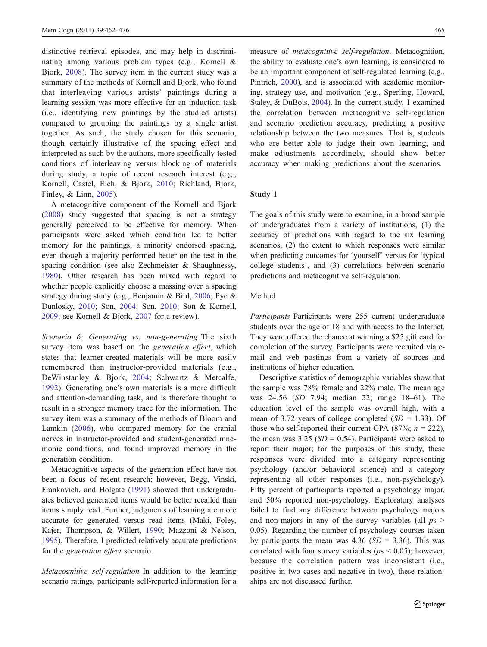<span id="page-3-0"></span>distinctive retrieval episodes, and may help in discriminating among various problem types (e.g., Kornell & Bjork, [2008](#page-13-0)). The survey item in the current study was a summary of the methods of Kornell and Bjork, who found that interleaving various artists' paintings during a learning session was more effective for an induction task (i.e., identifying new paintings by the studied artists) compared to grouping the paintings by a single artist together. As such, the study chosen for this scenario, though certainly illustrative of the spacing effect and interpreted as such by the authors, more specifically tested conditions of interleaving versus blocking of materials during study, a topic of recent research interest (e.g., Kornell, Castel, Eich, & Bjork, [2010;](#page-13-0) Richland, Bjork, Finley, & Linn, [2005](#page-13-0)).

A metacognitive component of the Kornell and Bjork [\(2008](#page-13-0)) study suggested that spacing is not a strategy generally perceived to be effective for memory. When participants were asked which condition led to better memory for the paintings, a minority endorsed spacing, even though a majority performed better on the test in the spacing condition (see also Zechmeister & Shaughnessy, [1980\)](#page-14-0). Other research has been mixed with regard to whether people explicitly choose a massing over a spacing strategy during study (e.g., Benjamin & Bird, [2006;](#page-12-0) Pyc & Dunlosky, [2010](#page-13-0); Son, [2004](#page-13-0); Son, [2010](#page-13-0); Son & Kornell, [2009;](#page-14-0) see Kornell & Bjork, [2007](#page-13-0) for a review).

Scenario 6: Generating vs. non-generating The sixth survey item was based on the *generation effect*, which states that learner-created materials will be more easily remembered than instructor-provided materials (e.g., DeWinstanley & Bjork, [2004;](#page-12-0) Schwartz & Metcalfe, [1992](#page-13-0)). Generating one's own materials is a more difficult and attention-demanding task, and is therefore thought to result in a stronger memory trace for the information. The survey item was a summary of the methods of Bloom and Lamkin ([2006](#page-12-0)), who compared memory for the cranial nerves in instructor-provided and student-generated mnemonic conditions, and found improved memory in the generation condition.

Metacognitive aspects of the generation effect have not been a focus of recent research; however, Begg, Vinski, Frankovich, and Holgate [\(1991](#page-12-0)) showed that undergraduates believed generated items would be better recalled than items simply read. Further, judgments of learning are more accurate for generated versus read items (Maki, Foley, Kajer, Thompson, & Willert, [1990](#page-13-0); Mazzoni & Nelson, [1995\)](#page-13-0). Therefore, I predicted relatively accurate predictions for the generation effect scenario.

Metacognitive self-regulation In addition to the learning scenario ratings, participants self-reported information for a measure of metacognitive self-regulation. Metacognition, the ability to evaluate one's own learning, is considered to be an important component of self-regulated learning (e.g., Pintrich, [2000\)](#page-13-0), and is associated with academic monitoring, strategy use, and motivation (e.g., Sperling, Howard, Staley, & DuBois, [2004](#page-14-0)). In the current study, I examined the correlation between metacognitive self-regulation and scenario prediction accuracy, predicting a positive relationship between the two measures. That is, students who are better able to judge their own learning, and make adjustments accordingly, should show better accuracy when making predictions about the scenarios.

## Study 1

The goals of this study were to examine, in a broad sample of undergraduates from a variety of institutions, (1) the accuracy of predictions with regard to the six learning scenarios, (2) the extent to which responses were similar when predicting outcomes for 'yourself' versus for 'typical college students', and (3) correlations between scenario predictions and metacognitive self-regulation.

# Method

Participants Participants were 255 current undergraduate students over the age of 18 and with access to the Internet. They were offered the chance at winning a \$25 gift card for completion of the survey. Participants were recruited via email and web postings from a variety of sources and institutions of higher education.

Descriptive statistics of demographic variables show that the sample was 78% female and 22% male. The mean age was 24.56 (SD 7.94; median 22; range 18–61). The education level of the sample was overall high, with a mean of 3.72 years of college completed  $(SD = 1.33)$ . Of those who self-reported their current GPA (87%;  $n = 222$ ), the mean was 3.25 ( $SD = 0.54$ ). Participants were asked to report their major; for the purposes of this study, these responses were divided into a category representing psychology (and/or behavioral science) and a category representing all other responses (i.e., non-psychology). Fifty percent of participants reported a psychology major, and 50% reported non-psychology. Exploratory analyses failed to find any difference between psychology majors and non-majors in any of the survey variables (all  $ps$ ) 0.05). Regarding the number of psychology courses taken by participants the mean was  $4.36$  (SD = 3.36). This was correlated with four survey variables ( $ps < 0.05$ ); however, because the correlation pattern was inconsistent (i.e., positive in two cases and negative in two), these relationships are not discussed further.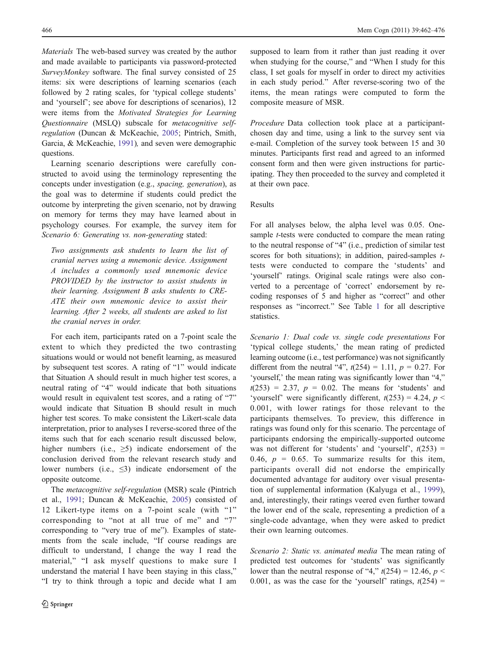Materials The web-based survey was created by the author and made available to participants via password-protected SurveyMonkey software. The final survey consisted of 25 items: six were descriptions of learning scenarios (each followed by 2 rating scales, for 'typical college students' and 'yourself'; see above for descriptions of scenarios), 12 were items from the Motivated Strategies for Learning Questionnaire (MSLQ) subscale for metacognitive selfregulation (Duncan & McKeachie, [2005](#page-13-0); Pintrich, Smith, Garcia, & McKeachie, [1991](#page-13-0)), and seven were demographic questions.

Learning scenario descriptions were carefully constructed to avoid using the terminology representing the concepts under investigation (e.g., spacing, generation), as the goal was to determine if students could predict the outcome by interpreting the given scenario, not by drawing on memory for terms they may have learned about in psychology courses. For example, the survey item for Scenario 6: Generating vs. non-generating stated:

Two assignments ask students to learn the list of cranial nerves using a mnemonic device. Assignment A includes a commonly used mnemonic device PROVIDED by the instructor to assist students in their learning. Assignment B asks students to CRE-ATE their own mnemonic device to assist their learning. After 2 weeks, all students are asked to list the cranial nerves in order.

For each item, participants rated on a 7-point scale the extent to which they predicted the two contrasting situations would or would not benefit learning, as measured by subsequent test scores. A rating of "1" would indicate that Situation A should result in much higher test scores, a neutral rating of "4" would indicate that both situations would result in equivalent test scores, and a rating of "7" would indicate that Situation B should result in much higher test scores. To make consistent the Likert-scale data interpretation, prior to analyses I reverse-scored three of the items such that for each scenario result discussed below, higher numbers (i.e.,  $\geq 5$ ) indicate endorsement of the conclusion derived from the relevant research study and lower numbers (i.e.,  $\leq 3$ ) indicate endorsement of the opposite outcome.

The metacognitive self-regulation (MSR) scale (Pintrich et al., [1991;](#page-13-0) Duncan & McKeachie, [2005\)](#page-13-0) consisted of 12 Likert-type items on a 7-point scale (with "1" corresponding to "not at all true of me" and "7" corresponding to "very true of me"). Examples of statements from the scale include, "If course readings are difficult to understand, I change the way I read the material," "I ask myself questions to make sure I understand the material I have been staying in this class," "I try to think through a topic and decide what I am

supposed to learn from it rather than just reading it over when studying for the course," and "When I study for this class, I set goals for myself in order to direct my activities in each study period." After reverse-scoring two of the items, the mean ratings were computed to form the composite measure of MSR.

Procedure Data collection took place at a participantchosen day and time, using a link to the survey sent via e-mail. Completion of the survey took between 15 and 30 minutes. Participants first read and agreed to an informed consent form and then were given instructions for participating. They then proceeded to the survey and completed it at their own pace.

# Results

For all analyses below, the alpha level was 0.05. Onesample *t*-tests were conducted to compare the mean rating to the neutral response of "4" (i.e., prediction of similar test scores for both situations); in addition, paired-samples ttests were conducted to compare the 'students' and 'yourself' ratings. Original scale ratings were also converted to a percentage of 'correct' endorsement by recoding responses of 5 and higher as "correct" and other responses as "incorrect." See Table [1](#page-5-0) for all descriptive statistics.

Scenario 1: Dual code vs. single code presentations For 'typical college students,' the mean rating of predicted learning outcome (i.e., test performance) was not significantly different from the neutral "4",  $t(254) = 1.11$ ,  $p = 0.27$ . For 'yourself,' the mean rating was significantly lower than "4,"  $t(253) = 2.37$ ,  $p = 0.02$ . The means for 'students' and 'yourself' were significantly different,  $t(253) = 4.24$ ,  $p <$ 0.001, with lower ratings for those relevant to the participants themselves. To preview, this difference in ratings was found only for this scenario. The percentage of participants endorsing the empirically-supported outcome was not different for 'students' and 'yourself',  $t(253)$  = 0.46,  $p = 0.65$ . To summarize results for this item, participants overall did not endorse the empirically documented advantage for auditory over visual presentation of supplemental information (Kalyuga et al., [1999](#page-13-0)), and, interestingly, their ratings veered even further toward the lower end of the scale, representing a prediction of a single-code advantage, when they were asked to predict their own learning outcomes.

Scenario 2: Static vs. animated media The mean rating of predicted test outcomes for 'students' was significantly lower than the neutral response of "4,"  $t(254) = 12.46$ ,  $p <$ 0.001, as was the case for the 'yourself' ratings,  $t(254)$  =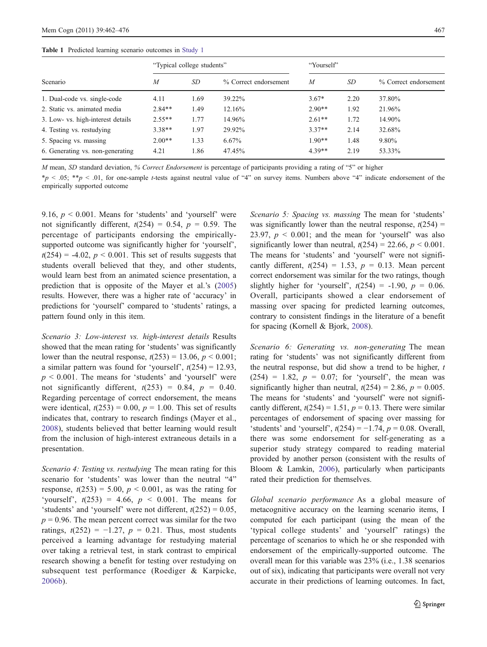<span id="page-5-0"></span>

|  |  |  |  | <b>Table 1</b> Predicted learning scenario outcomes in Study 1 |  |  |  |
|--|--|--|--|----------------------------------------------------------------|--|--|--|
|--|--|--|--|----------------------------------------------------------------|--|--|--|

|                                   | "Typical college students" |      |                       | "Yourself" |      |                       |  |
|-----------------------------------|----------------------------|------|-----------------------|------------|------|-----------------------|--|
| Scenario                          | $\boldsymbol{M}$           | SD   | % Correct endorsement | M          | SD   | % Correct endorsement |  |
| 1. Dual-code vs. single-code      | 4.11                       | 1.69 | 39.22%                | $3.67*$    | 2.20 | 37.80%                |  |
| 2. Static vs. animated media      | $2.84**$                   | 1.49 | 12.16%                | $2.90**$   | 1.92 | 21.96%                |  |
| 3. Low- vs. high-interest details | $2.55**$                   | 1.77 | 14.96%                | $2.61**$   | 1.72 | 14.90%                |  |
| 4. Testing vs. restudying         | $3.38**$                   | 1.97 | 29.92%                | $3.37**$   | 2.14 | 32.68%                |  |
| 5. Spacing vs. massing            | $2.00**$                   | 1.33 | $6.67\%$              | $1.90**$   | 1.48 | $9.80\%$              |  |
| 6. Generating vs. non-generating  | 4.21                       | 1.86 | 47.45%                | $4.39**$   | 2.19 | 53.33%                |  |

M mean, SD standard deviation, % Correct Endorsement is percentage of participants providing a rating of "5" or higher

 $*p < .05; **p < .01$ , for one-sample t-tests against neutral value of "4" on survey items. Numbers above "4" indicate endorsement of the empirically supported outcome

9.16,  $p < 0.001$ . Means for 'students' and 'yourself' were not significantly different,  $t(254) = 0.54$ ,  $p = 0.59$ . The percentage of participants endorsing the empiricallysupported outcome was significantly higher for 'yourself',  $t(254) = -4.02$ ,  $p < 0.001$ . This set of results suggests that students overall believed that they, and other students, would learn best from an animated science presentation, a prediction that is opposite of the Mayer et al.'s ([2005\)](#page-13-0) results. However, there was a higher rate of 'accuracy' in predictions for 'yourself' compared to 'students' ratings, a pattern found only in this item.

Scenario 3: Low-interest vs. high-interest details Results showed that the mean rating for 'students' was significantly lower than the neutral response,  $t(253) = 13.06$ ,  $p < 0.001$ ; a similar pattern was found for 'yourself',  $t(254) = 12.93$ ,  $p \le 0.001$ . The means for 'students' and 'yourself' were not significantly different,  $t(253) = 0.84$ ,  $p = 0.40$ . Regarding percentage of correct endorsement, the means were identical,  $t(253) = 0.00$ ,  $p = 1.00$ . This set of results indicates that, contrary to research findings (Mayer et al., [2008](#page-13-0)), students believed that better learning would result from the inclusion of high-interest extraneous details in a presentation.

Scenario 4: Testing vs. restudying The mean rating for this scenario for 'students' was lower than the neutral "4" response,  $t(253) = 5.00$ ,  $p < 0.001$ , as was the rating for 'yourself',  $t(253) = 4.66$ ,  $p < 0.001$ . The means for 'students' and 'yourself' were not different,  $t(252) = 0.05$ ,  $p = 0.96$ . The mean percent correct was similar for the two ratings,  $t(252) = -1.27$ ,  $p = 0.21$ . Thus, most students perceived a learning advantage for restudying material over taking a retrieval test, in stark contrast to empirical research showing a benefit for testing over restudying on subsequent test performance (Roediger & Karpicke, [2006b](#page-13-0)).

Scenario 5: Spacing vs. massing The mean for 'students' was significantly lower than the neutral response,  $t(254)$  = 23.97,  $p \le 0.001$ ; and the mean for 'yourself' was also significantly lower than neutral,  $t(254) = 22.66$ ,  $p < 0.001$ . The means for 'students' and 'yourself' were not significantly different,  $t(254) = 1.53$ ,  $p = 0.13$ . Mean percent correct endorsement was similar for the two ratings, though slightly higher for 'yourself',  $t(254) = -1.90$ ,  $p = 0.06$ . Overall, participants showed a clear endorsement of massing over spacing for predicted learning outcomes, contrary to consistent findings in the literature of a benefit for spacing (Kornell & Bjork, [2008](#page-13-0)).

Scenario 6: Generating vs. non-generating The mean rating for 'students' was not significantly different from the neutral response, but did show a trend to be higher,  $t$  $(254)$  = 1.82,  $p = 0.07$ ; for 'yourself', the mean was significantly higher than neutral,  $t(254) = 2.86$ ,  $p = 0.005$ . The means for 'students' and 'yourself' were not significantly different,  $t(254) = 1.51$ ,  $p = 0.13$ . There were similar percentages of endorsement of spacing over massing for 'students' and 'yourself',  $t(254) = -1.74$ ,  $p = 0.08$ . Overall, there was some endorsement for self-generating as a superior study strategy compared to reading material provided by another person (consistent with the results of Bloom & Lamkin, [2006\)](#page-12-0), particularly when participants rated their prediction for themselves.

Global scenario performance As a global measure of metacognitive accuracy on the learning scenario items, I computed for each participant (using the mean of the 'typical college students' and 'yourself' ratings) the percentage of scenarios to which he or she responded with endorsement of the empirically-supported outcome. The overall mean for this variable was 23% (i.e., 1.38 scenarios out of six), indicating that participants were overall not very accurate in their predictions of learning outcomes. In fact,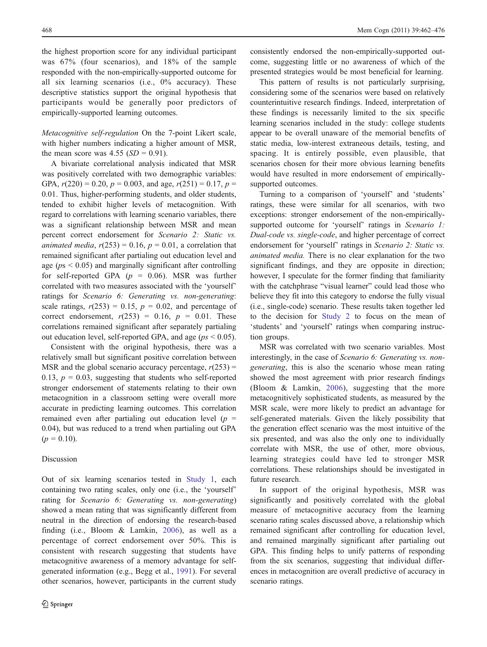the highest proportion score for any individual participant was 67% (four scenarios), and 18% of the sample responded with the non-empirically-supported outcome for all six learning scenarios (i.e., 0% accuracy). These descriptive statistics support the original hypothesis that participants would be generally poor predictors of empirically-supported learning outcomes.

Metacognitive self-regulation On the 7-point Likert scale, with higher numbers indicating a higher amount of MSR, the mean score was  $4.55$  ( $SD = 0.91$ ).

A bivariate correlational analysis indicated that MSR was positively correlated with two demographic variables: GPA,  $r(220) = 0.20$ ,  $p = 0.003$ , and age,  $r(251) = 0.17$ ,  $p =$ 0.01. Thus, higher-performing students, and older students, tended to exhibit higher levels of metacognition. With regard to correlations with learning scenario variables, there was a significant relationship between MSR and mean percent correct endorsement for Scenario 2: Static vs. animated media,  $r(253) = 0.16$ ,  $p = 0.01$ , a correlation that remained significant after partialing out education level and age ( $ps < 0.05$ ) and marginally significant after controlling for self-reported GPA  $(p = 0.06)$ . MSR was further correlated with two measures associated with the 'yourself' ratings for Scenario 6: Generating vs. non-generating: scale ratings,  $r(253) = 0.15$ ,  $p = 0.02$ , and percentage of correct endorsement,  $r(253) = 0.16$ ,  $p = 0.01$ . These correlations remained significant after separately partialing out education level, self-reported GPA, and age ( $ps < 0.05$ ).

Consistent with the original hypothesis, there was a relatively small but significant positive correlation between MSR and the global scenario accuracy percentage,  $r(253)$  = 0.13,  $p = 0.03$ , suggesting that students who self-reported stronger endorsement of statements relating to their own metacognition in a classroom setting were overall more accurate in predicting learning outcomes. This correlation remained even after partialing out education level ( $p =$ 0.04), but was reduced to a trend when partialing out GPA  $(p = 0.10)$ .

### Discussion

Out of six learning scenarios tested in [Study 1](#page-3-0), each containing two rating scales, only one (i.e., the 'yourself' rating for Scenario 6: Generating vs. non-generating) showed a mean rating that was significantly different from neutral in the direction of endorsing the research-based finding (i.e., Bloom & Lamkin, [2006](#page-12-0)), as well as a percentage of correct endorsement over 50%. This is consistent with research suggesting that students have metacognitive awareness of a memory advantage for selfgenerated information (e.g., Begg et al., [1991](#page-12-0)). For several other scenarios, however, participants in the current study consistently endorsed the non-empirically-supported outcome, suggesting little or no awareness of which of the presented strategies would be most beneficial for learning.

This pattern of results is not particularly surprising, considering some of the scenarios were based on relatively counterintuitive research findings. Indeed, interpretation of these findings is necessarily limited to the six specific learning scenarios included in the study: college students appear to be overall unaware of the memorial benefits of static media, low-interest extraneous details, testing, and spacing. It is entirely possible, even plausible, that scenarios chosen for their more obvious learning benefits would have resulted in more endorsement of empiricallysupported outcomes.

Turning to a comparison of 'yourself' and 'students' ratings, these were similar for all scenarios, with two exceptions: stronger endorsement of the non-empiricallysupported outcome for 'yourself' ratings in Scenario 1: Dual-code vs. single-code, and higher percentage of correct endorsement for 'yourself' ratings in Scenario 2: Static vs. animated media. There is no clear explanation for the two significant findings, and they are opposite in direction; however, I speculate for the former finding that familiarity with the catchphrase "visual learner" could lead those who believe they fit into this category to endorse the fully visual (i.e., single-code) scenario. These results taken together led to the decision for [Study 2](#page-7-0) to focus on the mean of 'students' and 'yourself' ratings when comparing instruction groups.

MSR was correlated with two scenario variables. Most interestingly, in the case of Scenario 6: Generating vs. nongenerating, this is also the scenario whose mean rating showed the most agreement with prior research findings (Bloom & Lamkin, [2006\)](#page-12-0), suggesting that the more metacognitively sophisticated students, as measured by the MSR scale, were more likely to predict an advantage for self-generated materials. Given the likely possibility that the generation effect scenario was the most intuitive of the six presented, and was also the only one to individually correlate with MSR, the use of other, more obvious, learning strategies could have led to stronger MSR correlations. These relationships should be investigated in future research.

In support of the original hypothesis, MSR was significantly and positively correlated with the global measure of metacognitive accuracy from the learning scenario rating scales discussed above, a relationship which remained significant after controlling for education level, and remained marginally significant after partialing out GPA. This finding helps to unify patterns of responding from the six scenarios, suggesting that individual differences in metacognition are overall predictive of accuracy in scenario ratings.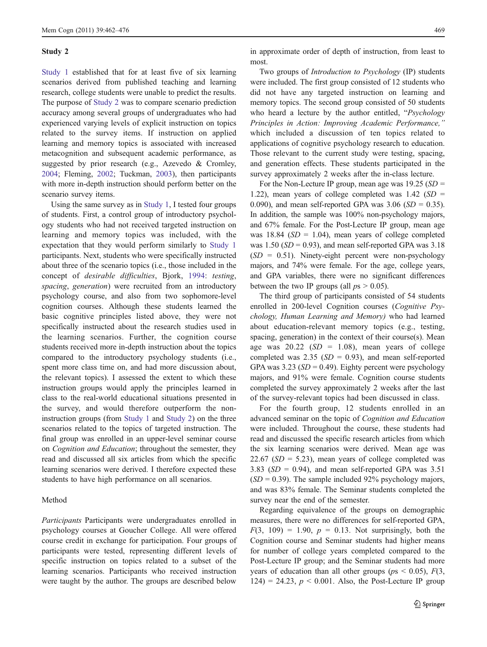#### <span id="page-7-0"></span>Study 2

[Study 1](#page-3-0) established that for at least five of six learning scenarios derived from published teaching and learning research, college students were unable to predict the results. The purpose of Study 2 was to compare scenario prediction accuracy among several groups of undergraduates who had experienced varying levels of explicit instruction on topics related to the survey items. If instruction on applied learning and memory topics is associated with increased metacognition and subsequent academic performance, as suggested by prior research (e.g., Azevedo & Cromley, [2004;](#page-12-0) Fleming, [2002;](#page-13-0) Tuckman, [2003\)](#page-14-0), then participants with more in-depth instruction should perform better on the scenario survey items.

Using the same survey as in [Study 1,](#page-3-0) I tested four groups of students. First, a control group of introductory psychology students who had not received targeted instruction on learning and memory topics was included, with the expectation that they would perform similarly to [Study 1](#page-3-0) participants. Next, students who were specifically instructed about three of the scenario topics (i.e., those included in the concept of desirable difficulties, Bjork, [1994:](#page-12-0) testing, spacing, generation) were recruited from an introductory psychology course, and also from two sophomore-level cognition courses. Although these students learned the basic cognitive principles listed above, they were not specifically instructed about the research studies used in the learning scenarios. Further, the cognition course students received more in-depth instruction about the topics compared to the introductory psychology students (i.e., spent more class time on, and had more discussion about, the relevant topics). I assessed the extent to which these instruction groups would apply the principles learned in class to the real-world educational situations presented in the survey, and would therefore outperform the noninstruction groups (from [Study 1](#page-3-0) and Study 2) on the three scenarios related to the topics of targeted instruction. The final group was enrolled in an upper-level seminar course on Cognition and Education; throughout the semester, they read and discussed all six articles from which the specific learning scenarios were derived. I therefore expected these students to have high performance on all scenarios.

# Method

Participants Participants were undergraduates enrolled in psychology courses at Goucher College. All were offered course credit in exchange for participation. Four groups of participants were tested, representing different levels of specific instruction on topics related to a subset of the learning scenarios. Participants who received instruction were taught by the author. The groups are described below

in approximate order of depth of instruction, from least to most.

Two groups of Introduction to Psychology (IP) students were included. The first group consisted of 12 students who did not have any targeted instruction on learning and memory topics. The second group consisted of 50 students who heard a lecture by the author entitled, "Psychology Principles in Action: Improving Academic Performance," which included a discussion of ten topics related to applications of cognitive psychology research to education. Those relevant to the current study were testing, spacing, and generation effects. These students participated in the survey approximately 2 weeks after the in-class lecture.

For the Non-Lecture IP group, mean age was  $19.25$  (SD = 1.22), mean years of college completed was  $1.42$  (SD = 0.090), and mean self-reported GPA was  $3.06$  (SD = 0.35). In addition, the sample was 100% non-psychology majors, and 67% female. For the Post-Lecture IP group, mean age was  $18.84$  ( $SD = 1.04$ ), mean years of college completed was  $1.50$  (SD = 0.93), and mean self-reported GPA was  $3.18$  $(SD = 0.51)$ . Ninety-eight percent were non-psychology majors, and 74% were female. For the age, college years, and GPA variables, there were no significant differences between the two IP groups (all  $ps > 0.05$ ).

The third group of participants consisted of 54 students enrolled in 200-level Cognition courses (Cognitive Psychology, Human Learning and Memory) who had learned about education-relevant memory topics (e.g., testing, spacing, generation) in the context of their course(s). Mean age was  $20.22$  (SD = 1.08), mean years of college completed was 2.35 ( $SD = 0.93$ ), and mean self-reported GPA was  $3.23$  (SD = 0.49). Eighty percent were psychology majors, and 91% were female. Cognition course students completed the survey approximately 2 weeks after the last of the survey-relevant topics had been discussed in class.

For the fourth group, 12 students enrolled in an advanced seminar on the topic of Cognition and Education were included. Throughout the course, these students had read and discussed the specific research articles from which the six learning scenarios were derived. Mean age was 22.67 ( $SD = 5.23$ ), mean years of college completed was 3.83 ( $SD = 0.94$ ), and mean self-reported GPA was 3.51  $(SD = 0.39)$ . The sample included 92% psychology majors, and was 83% female. The Seminar students completed the survey near the end of the semester.

Regarding equivalence of the groups on demographic measures, there were no differences for self-reported GPA,  $F(3, 109) = 1.90, p = 0.13$ . Not surprisingly, both the Cognition course and Seminar students had higher means for number of college years completed compared to the Post-Lecture IP group; and the Seminar students had more years of education than all other groups ( $ps < 0.05$ ),  $F(3, \theta)$  $124$ ) = 24.23,  $p < 0.001$ . Also, the Post-Lecture IP group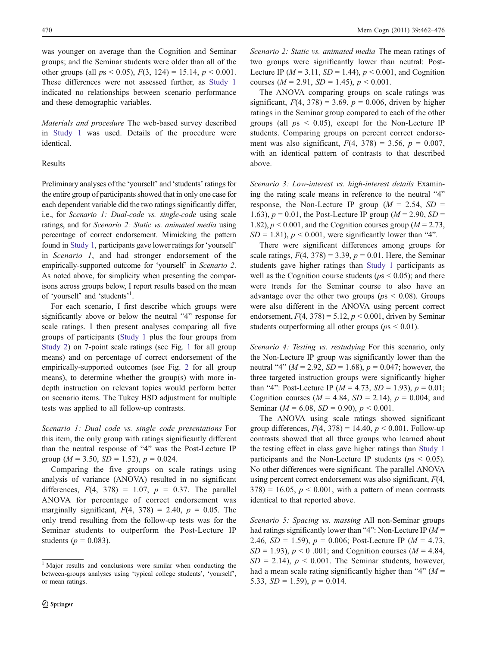was younger on average than the Cognition and Seminar groups; and the Seminar students were older than all of the other groups (all  $ps < 0.05$ ),  $F(3, 124) = 15.14$ ,  $p < 0.001$ . These differences were not assessed further, as [Study 1](#page-3-0) indicated no relationships between scenario performance and these demographic variables.

Materials and procedure The web-based survey described in [Study 1](#page-3-0) was used. Details of the procedure were identical.

## Results

Preliminary analyses of the 'yourself' and 'students' ratings for the entire group of participants showed that in only one case for each dependent variable did the two ratings significantly differ, i.e., for Scenario 1: Dual-code vs. single-code using scale ratings, and for Scenario 2: Static vs. animated media using percentage of correct endorsement. Mimicking the pattern found in [Study 1,](#page-3-0) participants gave lower ratings for 'yourself' in Scenario 1, and had stronger endorsement of the empirically-supported outcome for 'yourself' in *Scenario 2*. As noted above, for simplicity when presenting the comparisons across groups below, I report results based on the mean of 'yourself' and 'students'<sup>1</sup>.

For each scenario, I first describe which groups were significantly above or below the neutral "4" response for scale ratings. I then present analyses comparing all five groups of participants ([Study 1](#page-3-0) plus the four groups from [Study 2\)](#page-7-0) on 7-point scale ratings (see Fig. [1](#page-9-0) for all group means) and on percentage of correct endorsement of the empirically-supported outcomes (see Fig. [2](#page-9-0) for all group means), to determine whether the group(s) with more indepth instruction on relevant topics would perform better on scenario items. The Tukey HSD adjustment for multiple tests was applied to all follow-up contrasts.

Scenario 1: Dual code vs. single code presentations For this item, the only group with ratings significantly different than the neutral response of "4" was the Post-Lecture IP group ( $M = 3.50$ ,  $SD = 1.52$ ),  $p = 0.024$ .

Comparing the five groups on scale ratings using analysis of variance (ANOVA) resulted in no significant differences,  $F(4, 378) = 1.07$ ,  $p = 0.37$ . The parallel ANOVA for percentage of correct endorsement was marginally significant,  $F(4, 378) = 2.40$ ,  $p = 0.05$ . The only trend resulting from the follow-up tests was for the Seminar students to outperform the Post-Lecture IP students ( $p = 0.083$ ).

Scenario 2: Static vs. animated media The mean ratings of two groups were significantly lower than neutral: Post-Lecture IP ( $M = 3.11$ ,  $SD = 1.44$ ),  $p < 0.001$ , and Cognition courses  $(M = 2.91, SD = 1.45), p \le 0.001$ .

The ANOVA comparing groups on scale ratings was significant,  $F(4, 378) = 3.69$ ,  $p = 0.006$ , driven by higher ratings in the Seminar group compared to each of the other groups (all  $ps < 0.05$ ), except for the Non-Lecture IP students. Comparing groups on percent correct endorsement was also significant,  $F(4, 378) = 3.56$ ,  $p = 0.007$ , with an identical pattern of contrasts to that described above.

Scenario 3: Low-interest vs. high-interest details Examining the rating scale means in reference to the neutral "4" response, the Non-Lecture IP group  $(M = 2.54, SD =$ 1.63),  $p = 0.01$ , the Post-Lecture IP group ( $M = 2.90$ ,  $SD =$ 1.82),  $p < 0.001$ , and the Cognition courses group ( $M = 2.73$ ,  $SD = 1.81$ ,  $p < 0.001$ , were significantly lower than "4".

There were significant differences among groups for scale ratings,  $F(4, 378) = 3.39$ ,  $p = 0.01$ . Here, the Seminar students gave higher ratings than [Study 1](#page-3-0) participants as well as the Cognition course students ( $ps < 0.05$ ); and there were trends for the Seminar course to also have an advantage over the other two groups ( $ps < 0.08$ ). Groups were also different in the ANOVA using percent correct endorsement,  $F(4, 378) = 5.12$ ,  $p < 0.001$ , driven by Seminar students outperforming all other groups ( $ps < 0.01$ ).

Scenario 4: Testing vs. restudying For this scenario, only the Non-Lecture IP group was significantly lower than the neutral "4" ( $M = 2.92$ ,  $SD = 1.68$ ),  $p = 0.047$ ; however, the three targeted instruction groups were significantly higher than "4": Post-Lecture IP ( $M = 4.73$ ,  $SD = 1.93$ ),  $p = 0.01$ ; Cognition courses ( $M = 4.84$ ,  $SD = 2.14$ ),  $p = 0.004$ ; and Seminar ( $M = 6.08$ ,  $SD = 0.90$ ),  $p < 0.001$ .

The ANOVA using scale ratings showed significant group differences,  $F(4, 378) = 14.40, p < 0.001$ . Follow-up contrasts showed that all three groups who learned about the testing effect in class gave higher ratings than [Study 1](#page-3-0) participants and the Non-Lecture IP students ( $ps < 0.05$ ). No other differences were significant. The parallel ANOVA using percent correct endorsement was also significant,  $F(4, 4)$  $378$ ) = 16.05,  $p < 0.001$ , with a pattern of mean contrasts identical to that reported above.

Scenario 5: Spacing vs. massing All non-Seminar groups had ratings significantly lower than "4": Non-Lecture IP  $(M =$ 2.46,  $SD = 1.59$ ,  $p = 0.006$ ; Post-Lecture IP ( $M = 4.73$ ,  $SD = 1.93$ ),  $p < 0.001$ ; and Cognition courses ( $M = 4.84$ ,  $SD = 2.14$ ,  $p < 0.001$ . The Seminar students, however, had a mean scale rating significantly higher than "4"  $(M =$ 5.33,  $SD = 1.59$ ,  $p = 0.014$ .

<sup>&</sup>lt;sup>1</sup> Major results and conclusions were similar when conducting the between-groups analyses using 'typical college students', 'yourself', or mean ratings.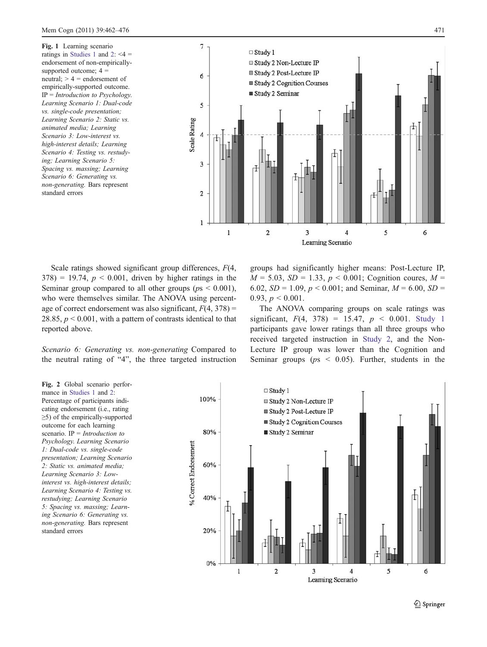<span id="page-9-0"></span>Fig. 1 Learning scenario ratings in [Studies 1](#page-3-0) and [2:](#page-7-0)  $\leq 4$  = endorsement of non-empiricallysupported outcome;  $4 =$ neutral;  $> 4$  = endorsement of empirically-supported outcome.  $IP = Introduction to Psychology.$ Learning Scenario 1: Dual-code vs. single-code presentation; Learning Scenario 2: Static vs. animated media; Learning Scenario 3: Low-interest vs. high-interest details; Learning Scenario 4: Testing vs. restudying; Learning Scenario 5: Spacing vs. massing; Learning Scenario 6: Generating vs. non-generating. Bars represent standard errors



Scale ratings showed significant group differences,  $F(4, 4)$  $378$ ) = 19.74,  $p < 0.001$ , driven by higher ratings in the Seminar group compared to all other groups ( $ps < 0.001$ ), who were themselves similar. The ANOVA using percentage of correct endorsement was also significant,  $F(4, 378) =$ 28.85,  $p < 0.001$ , with a pattern of contrasts identical to that reported above.

Scenario 6: Generating vs. non-generating Compared to the neutral rating of "4", the three targeted instruction groups had significantly higher means: Post-Lecture IP,  $M = 5.03$ ,  $SD = 1.33$ ,  $p < 0.001$ ; Cognition coures,  $M =$ 6.02,  $SD = 1.09$ ,  $p < 0.001$ ; and Seminar,  $M = 6.00$ ,  $SD =$ 0.93,  $p < 0.001$ .

The ANOVA comparing groups on scale ratings was significant,  $F(4, 378) = 15.47, p < 0.001$ . [Study 1](#page-3-0) participants gave lower ratings than all three groups who received targeted instruction in [Study 2,](#page-7-0) and the Non-Lecture IP group was lower than the Cognition and Seminar groups ( $ps < 0.05$ ). Further, students in the

Fig. 2 Global scenario performance in [Studies 1](#page-3-0) and [2:](#page-7-0) Percentage of participants indicating endorsement (i.e., rating ≥5) of the empirically-supported outcome for each learning scenario. IP = *Introduction to* Psychology. Learning Scenario 1: Dual-code vs. single-code presentation; Learning Scenario 2: Static vs. animated media; Learning Scenario 3: Lowinterest vs. high-interest details; Learning Scenario 4: Testing vs. restudying; Learning Scenario 5: Spacing vs. massing; Learning Scenario 6: Generating vs. non-generating. Bars represent standard errors

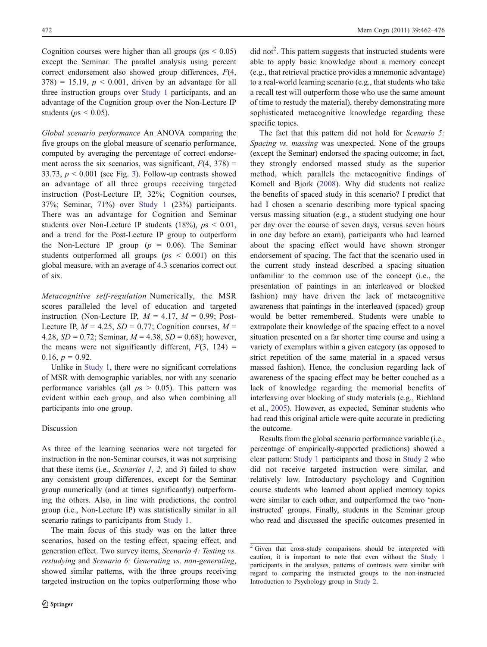Cognition courses were higher than all groups ( $ps < 0.05$ ) except the Seminar. The parallel analysis using percent correct endorsement also showed group differences, F(4,  $378$ ) = 15.19,  $p < 0.001$ , driven by an advantage for all three instruction groups over [Study 1](#page-3-0) participants, and an advantage of the Cognition group over the Non-Lecture IP students ( $ps < 0.05$ ).

Global scenario performance An ANOVA comparing the five groups on the global measure of scenario performance, computed by averaging the percentage of correct endorsement across the six scenarios, was significant,  $F(4, 378) =$ [3](#page-11-0)3.73,  $p < 0.001$  (see Fig. 3). Follow-up contrasts showed an advantage of all three groups receiving targeted instruction (Post-Lecture IP, 32%; Cognition courses, 37%; Seminar, 71%) over [Study 1](#page-3-0) (23%) participants. There was an advantage for Cognition and Seminar students over Non-Lecture IP students  $(18\%)$ ,  $ps < 0.01$ , and a trend for the Post-Lecture IP group to outperform the Non-Lecture IP group  $(p = 0.06)$ . The Seminar students outperformed all groups ( $ps < 0.001$ ) on this global measure, with an average of 4.3 scenarios correct out of six.

Metacognitive self-regulation Numerically, the MSR scores paralleled the level of education and targeted instruction (Non-Lecture IP,  $M = 4.17$ ,  $M = 0.99$ ; Post-Lecture IP,  $M = 4.25$ ,  $SD = 0.77$ ; Cognition courses,  $M =$ 4.28,  $SD = 0.72$ ; Seminar,  $M = 4.38$ ,  $SD = 0.68$ ); however, the means were not significantly different,  $F(3, 124) =$ 0.16,  $p = 0.92$ .

Unlike in [Study 1](#page-3-0), there were no significant correlations of MSR with demographic variables, nor with any scenario performance variables (all  $ps > 0.05$ ). This pattern was evident within each group, and also when combining all participants into one group.

# Discussion

As three of the learning scenarios were not targeted for instruction in the non-Seminar courses, it was not surprising that these items (i.e., Scenarios 1, 2, and 3) failed to show any consistent group differences, except for the Seminar group numerically (and at times significantly) outperforming the others. Also, in line with predictions, the control group (i.e., Non-Lecture IP) was statistically similar in all scenario ratings to participants from [Study 1](#page-3-0).

The main focus of this study was on the latter three scenarios, based on the testing effect, spacing effect, and generation effect. Two survey items, Scenario 4: Testing vs. restudying and Scenario 6: Generating vs. non-generating, showed similar patterns, with the three groups receiving targeted instruction on the topics outperforming those who

did not<sup>2</sup>. This pattern suggests that instructed students were able to apply basic knowledge about a memory concept (e.g., that retrieval practice provides a mnemonic advantage) to a real-world learning scenario (e.g., that students who take a recall test will outperform those who use the same amount of time to restudy the material), thereby demonstrating more sophisticated metacognitive knowledge regarding these specific topics.

The fact that this pattern did not hold for *Scenario 5:* Spacing vs. massing was unexpected. None of the groups (except the Seminar) endorsed the spacing outcome; in fact, they strongly endorsed massed study as the superior method, which parallels the metacognitive findings of Kornell and Bjork ([2008\)](#page-13-0). Why did students not realize the benefits of spaced study in this scenario? I predict that had I chosen a scenario describing more typical spacing versus massing situation (e.g., a student studying one hour per day over the course of seven days, versus seven hours in one day before an exam), participants who had learned about the spacing effect would have shown stronger endorsement of spacing. The fact that the scenario used in the current study instead described a spacing situation unfamiliar to the common use of the concept (i.e., the presentation of paintings in an interleaved or blocked fashion) may have driven the lack of metacognitive awareness that paintings in the interleaved (spaced) group would be better remembered. Students were unable to extrapolate their knowledge of the spacing effect to a novel situation presented on a far shorter time course and using a variety of exemplars within a given category (as opposed to strict repetition of the same material in a spaced versus massed fashion). Hence, the conclusion regarding lack of awareness of the spacing effect may be better couched as a lack of knowledge regarding the memorial benefits of interleaving over blocking of study materials (e.g., Richland et al., [2005](#page-13-0)). However, as expected, Seminar students who had read this original article were quite accurate in predicting the outcome.

Results from the global scenario performance variable (i.e., percentage of empirically-supported predictions) showed a clear pattern: [Study 1](#page-3-0) participants and those in [Study 2](#page-7-0) who did not receive targeted instruction were similar, and relatively low. Introductory psychology and Cognition course students who learned about applied memory topics were similar to each other, and outperformed the two 'noninstructed' groups. Finally, students in the Seminar group who read and discussed the specific outcomes presented in

 $2\overline{G}$  Given that cross-study comparisons should be interpreted with caution, it is important to note that even without the [Study 1](#page-3-0) participants in the analyses, patterns of contrasts were similar with regard to comparing the instructed groups to the non-instructed Introduction to Psychology group in [Study 2](#page-7-0).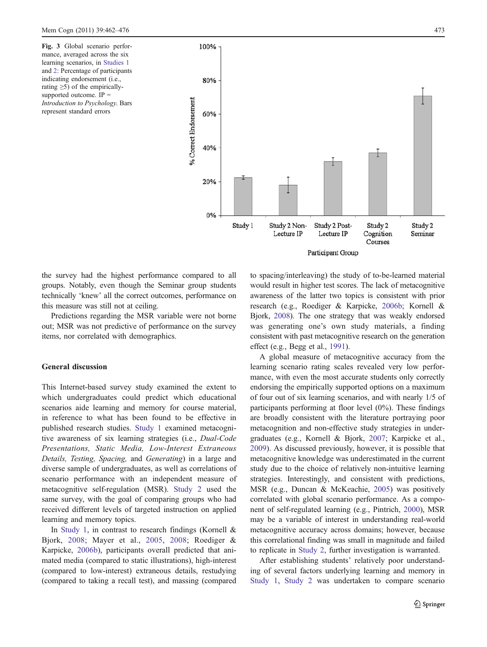<span id="page-11-0"></span>Fig. 3 Global scenario performance, averaged across the six learning scenarios, in [Studies 1](#page-3-0) and [2:](#page-7-0) Percentage of participants indicating endorsement (i.e., rating  $\geq$ 5) of the empiricallysupported outcome.  $IP =$ Introduction to Psychology. Bars represent standard errors



the survey had the highest performance compared to all groups. Notably, even though the Seminar group students technically 'knew' all the correct outcomes, performance on this measure was still not at ceiling.

Predictions regarding the MSR variable were not borne out; MSR was not predictive of performance on the survey items, nor correlated with demographics.

# General discussion

This Internet-based survey study examined the extent to which undergraduates could predict which educational scenarios aide learning and memory for course material, in reference to what has been found to be effective in published research studies. [Study 1](#page-3-0) examined metacognitive awareness of six learning strategies (i.e., Dual-Code Presentations, Static Media, Low-Interest Extraneous Details, Testing, Spacing, and Generating) in a large and diverse sample of undergraduates, as well as correlations of scenario performance with an independent measure of metacognitive self-regulation (MSR). [Study 2](#page-7-0) used the same survey, with the goal of comparing groups who had received different levels of targeted instruction on applied learning and memory topics.

In [Study 1,](#page-3-0) in contrast to research findings (Kornell  $\&$ Bjork, [2008;](#page-13-0) Mayer et al., [2005,](#page-13-0) [2008](#page-13-0); Roediger & Karpicke, [2006b](#page-13-0)), participants overall predicted that animated media (compared to static illustrations), high-interest (compared to low-interest) extraneous details, restudying (compared to taking a recall test), and massing (compared

to spacing/interleaving) the study of to-be-learned material would result in higher test scores. The lack of metacognitive awareness of the latter two topics is consistent with prior research (e.g., Roediger & Karpicke, [2006b;](#page-13-0) Kornell & Bjork, [2008\)](#page-13-0). The one strategy that was weakly endorsed was generating one's own study materials, a finding consistent with past metacognitive research on the generation effect (e.g., Begg et al., [1991\)](#page-12-0).

A global measure of metacognitive accuracy from the learning scenario rating scales revealed very low performance, with even the most accurate students only correctly endorsing the empirically supported options on a maximum of four out of six learning scenarios, and with nearly 1/5 of participants performing at floor level (0%). These findings are broadly consistent with the literature portraying poor metacognition and non-effective study strategies in undergraduates (e.g., Kornell & Bjork, [2007;](#page-13-0) Karpicke et al., [2009](#page-13-0)). As discussed previously, however, it is possible that metacognitive knowledge was underestimated in the current study due to the choice of relatively non-intuitive learning strategies. Interestingly, and consistent with predictions, MSR (e.g., Duncan & McKeachie, [2005](#page-13-0)) was positively correlated with global scenario performance. As a component of self-regulated learning (e.g., Pintrich, [2000\)](#page-13-0), MSR may be a variable of interest in understanding real-world metacognitive accuracy across domains; however, because this correlational finding was small in magnitude and failed to replicate in [Study 2,](#page-7-0) further investigation is warranted.

After establishing students' relatively poor understanding of several factors underlying learning and memory in [Study 1,](#page-3-0) [Study 2](#page-7-0) was undertaken to compare scenario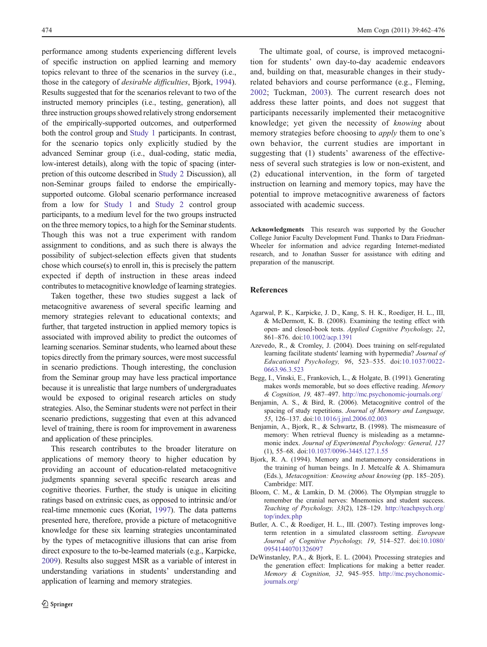<span id="page-12-0"></span>performance among students experiencing different levels of specific instruction on applied learning and memory topics relevant to three of the scenarios in the survey (i.e., those in the category of *desirable difficulties*, Biork, 1994). Results suggested that for the scenarios relevant to two of the instructed memory principles (i.e., testing, generation), all three instruction groups showed relatively strong endorsement of the empirically-supported outcomes, and outperformed both the control group and [Study 1](#page-3-0) participants. In contrast, for the scenario topics only explicitly studied by the advanced Seminar group (i.e., dual-coding, static media, low-interest details), along with the topic of spacing (interpretion of this outcome described in [Study 2](#page-7-0) Discussion), all non-Seminar groups failed to endorse the empiricallysupported outcome. Global scenario performance increased from a low for [Study 1](#page-3-0) and [Study 2](#page-7-0) control group participants, to a medium level for the two groups instructed on the three memory topics, to a high for the Seminar students. Though this was not a true experiment with random assignment to conditions, and as such there is always the possibility of subject-selection effects given that students chose which course(s) to enroll in, this is precisely the pattern expected if depth of instruction in these areas indeed contributes to metacognitive knowledge of learning strategies.

Taken together, these two studies suggest a lack of metacognitive awareness of several specific learning and memory strategies relevant to educational contexts; and further, that targeted instruction in applied memory topics is associated with improved ability to predict the outcomes of learning scenarios. Seminar students, who learned about these topics directly from the primary sources, were most successful in scenario predictions. Though interesting, the conclusion from the Seminar group may have less practical importance because it is unrealistic that large numbers of undergraduates would be exposed to original research articles on study strategies. Also, the Seminar students were not perfect in their scenario predictions, suggesting that even at this advanced level of training, there is room for improvement in awareness and application of these principles.

This research contributes to the broader literature on applications of memory theory to higher education by providing an account of education-related metacognitive judgments spanning several specific research areas and cognitive theories. Further, the study is unique in eliciting ratings based on extrinsic cues, as opposed to intrinsic and/or real-time mnemonic cues (Koriat, [1997\)](#page-13-0). The data patterns presented here, therefore, provide a picture of metacognitive knowledge for these six learning strategies uncontaminated by the types of metacognitive illusions that can arise from direct exposure to the to-be-learned materials (e.g., Karpicke, [2009\)](#page-13-0). Results also suggest MSR as a variable of interest in understanding variations in students' understanding and application of learning and memory strategies.

The ultimate goal, of course, is improved metacognition for students' own day-to-day academic endeavors and, building on that, measurable changes in their studyrelated behaviors and course performance (e.g., Fleming, [2002](#page-13-0); Tuckman, [2003](#page-14-0)). The current research does not address these latter points, and does not suggest that participants necessarily implemented their metacognitive knowledge; yet given the necessity of knowing about memory strategies before choosing to *apply* them to one's own behavior, the current studies are important in suggesting that (1) students' awareness of the effectiveness of several such strategies is low or non-existent, and (2) educational intervention, in the form of targeted instruction on learning and memory topics, may have the potential to improve metacognitive awareness of factors associated with academic success.

Acknowledgments This research was supported by the Goucher College Junior Faculty Development Fund. Thanks to Dara Friedman-Wheeler for information and advice regarding Internet-mediated research, and to Jonathan Susser for assistance with editing and preparation of the manuscript.

## References

- Agarwal, P. K., Karpicke, J. D., Kang, S. H. K., Roediger, H. L., III, & McDermott, K. B. (2008). Examining the testing effect with open- and closed-book tests. Applied Cognitive Psychology, 22, 861–876. doi:[10.1002/acp.1391](http://dx.doi.org/10.1002/acp.1391)
- Azevedo, R., & Cromley, J. (2004). Does training on self-regulated learning facilitate students' learning with hypermedia? Journal of Educational Psychology, 96, 523–535. doi:[10.1037/0022-](http://dx.doi.org/10.1037/0022-0663.96.3.523) [0663.96.3.523](http://dx.doi.org/10.1037/0022-0663.96.3.523)
- Begg, I., Vinski, E., Frankovich, L., & Holgate, B. (1991). Generating makes words memorable, but so does effective reading. Memory & Cognition, 19, 487–497. <http://mc.psychonomic-journals.org/>
- Benjamin, A. S., & Bird, R. (2006). Metacognitive control of the spacing of study repetitions. Journal of Memory and Language, 55, 126–137. doi[:10.1016/j.jml.2006.02.003](http://dx.doi.org/10.1016/j.jml.2006.02.003)
- Benjamin, A., Bjork, R., & Schwartz, B. (1998). The mismeasure of memory: When retrieval fluency is misleading as a metamnemonic index. Journal of Experimental Psychology: General, 127 (1), 55–68. doi:[10.1037/0096-3445.127.1.55](http://dx.doi.org/10.1037/0096-3445.127.1.55)
- Bjork, R. A. (1994). Memory and metamemory considerations in the training of human beings. In J. Metcalfe & A. Shimamura (Eds.), Metacognition: Knowing about knowing (pp. 185–205). Cambridge: MIT.
- Bloom, C. M., & Lamkin, D. M. (2006). The Olympian struggle to remember the cranial nerves: Mnemonics and student success. Teaching of Psychology, 33(2), 128–129. [http://teachpsych.org/](http://teachpsych.org/top/index.php) [top/index.php](http://teachpsych.org/top/index.php)
- Butler, A. C., & Roediger, H. L., III. (2007). Testing improves longterm retention in a simulated classroom setting. European Journal of Cognitive Psychology, 19, 514–527. doi[:10.1080/](http://dx.doi.org/10.1080/09541440701326097) [09541440701326097](http://dx.doi.org/10.1080/09541440701326097)
- DeWinstanley, P.A., & Bjork, E. L. (2004). Processing strategies and the generation effect: Implications for making a better reader. Memory & Cognition, 32, 945–955. [http://mc.psychonomic](http://mc.psychonomic-journals.org/)[journals.org/](http://mc.psychonomic-journals.org/)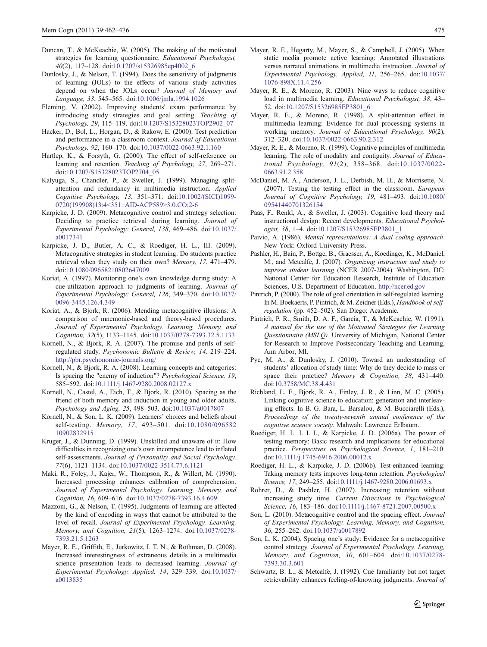- <span id="page-13-0"></span>Duncan, T., & McKeachie, W. (2005). The making of the motivated strategies for learning questionnaire. Educational Psychologist, 40(2), 117–128. doi[:10.1207/s15326985ep4002\\_6](http://dx.doi.org/10.1207/s15326985ep4002_6)
- Dunlosky, J., & Nelson, T. (1994). Does the sensitivity of judgments of learning (JOLs) to the effects of various study activities depend on when the JOLs occur? Journal of Memory and Language, 33, 545–565. doi:[10.1006/jmla.1994.1026](http://dx.doi.org/10.1006/jmla.1994.1026)
- Fleming, V. (2002). Improving students' exam performance by introducing study strategies and goal setting. Teaching of Psychology, 29, 115–119. doi:[10.1207/S15328023TOP2902\\_07](http://dx.doi.org/10.1207/S15328023TOP2902_07)
- Hacker, D., Bol, L., Horgan, D., & Rakow, E. (2000). Test prediction and performance in a classroom context. Journal of Educational Psychology, 92, 160–170. doi[:10.1037/0022-0663.92.1.160](http://dx.doi.org/10.1037/0022-0663.92.1.160)
- Hartlep, K., & Forsyth, G. (2000). The effect of self-reference on learning and retention. Teaching of Psychology, 27, 269–271. doi[:10.1207/S15328023TOP2704\\_05](http://dx.doi.org/10.1207/S15328023TOP2704_05)
- Kalyuga, S., Chandler, P., & Sweller, J. (1999). Managing splitattention and redundancy in multimedia instruction. Applied Cognitive Psychology, 13, 351–371. doi[:10.1002/\(SICI\)1099-](http://dx.doi.org/10.1002/(SICI)1099-0720(199908)13:4<351::AID-ACP589>3.0.CO;2-6) [0720\(199908\)13:4<351::AID-ACP589>3.0.CO;2-6](http://dx.doi.org/10.1002/(SICI)1099-0720(199908)13:4<351::AID-ACP589>3.0.CO;2-6)
- Karpicke, J. D. (2009). Metacognitive control and strategy selection: Deciding to practice retrieval during learning. Journal of Experimental Psychology: General, 138, 469–486. doi[:10.1037/](http://dx.doi.org/10.1037/a0017341) [a0017341](http://dx.doi.org/10.1037/a0017341)
- Karpicke, J. D., Butler, A. C., & Roediger, H. L., III. (2009). Metacognitive strategies in student learning: Do students practice retrieval when they study on their own? Memory, 17, 471–479. doi[:10.1080/09658210802647009](http://dx.doi.org/10.1080/09658210802647009)
- Koriat, A. (1997). Monitoring one's own knowledge during study: A cue-utilization approach to judgments of learning. Journal of Experimental Psychology: General, 126, 349–370. doi[:10.1037/](http://dx.doi.org/10.1037/0096-3445.126.4.349) [0096-3445.126.4.349](http://dx.doi.org/10.1037/0096-3445.126.4.349)
- Koriat, A., & Bjork, R. (2006). Mending metacognitive illusions: A comparison of mnemonic-based and theory-based procedures. Journal of Experimental Psychology. Learning, Memory, and Cognition, 32(5), 1133–1145. doi[:10.1037/0278-7393.32.5.1133](http://dx.doi.org/10.1037/0278-7393.32.5.1133)
- Kornell, N., & Bjork, R. A. (2007). The promise and perils of selfregulated study. Psychonomic Bulletin & Review, 14, 219–224. <http://pbr.psychonomic-journals.org/>
- Kornell, N., & Bjork, R. A. (2008). Learning concepts and categories: Is spacing the "enemy of induction"? Psychological Science, 19, 585–592. doi:[10.1111/j.1467-9280.2008.02127.x](http://dx.doi.org/10.1111/j.1467-9280.2008.02127.x)
- Kornell, N., Castel, A., Eich, T., & Bjork, R. (2010). Spacing as the friend of both memory and induction in young and older adults. Psychology and Aging, 25, 498–503. doi[:10.1037/a0017807](http://dx.doi.org/10.1037/a0017807)
- Kornell, N., & Son, L. K. (2009). Learners' choices and beliefs about self-testing. Memory, 17, 493–501. doi:[10.1080/096582](http://dx.doi.org/10.1080/09658210902832915) [10902832915](http://dx.doi.org/10.1080/09658210902832915)
- Kruger, J., & Dunning, D. (1999). Unskilled and unaware of it: How difficulties in recognizing one's own incompetence lead to inflated self-assessments. Journal of Personality and Social Psychology, 77(6), 1121–1134. doi:[10.1037/0022-3514.77.6.1121](http://dx.doi.org/10.1037/0022-3514.77.6.1121)
- Maki, R., Foley, J., Kajer, W., Thompson, R., & Willert, M. (1990). Increased processing enhances calibration of comprehension. Journal of Experimental Psychology. Learning, Memory, and Cognition, 16, 609–616. doi:[10.1037/0278-7393.16.4.609](http://dx.doi.org/10.1037/0278-7393.16.4.609)
- Mazzoni, G., & Nelson, T. (1995). Judgments of learning are affected by the kind of encoding in ways that cannot be attributed to the level of recall. Journal of Experimental Psychology. Learning, Memory, and Cognition, 21(5), 1263–1274. doi:[10.1037/0278-](http://dx.doi.org/10.1037/0278-7393.21.5.1263) [7393.21.5.1263](http://dx.doi.org/10.1037/0278-7393.21.5.1263)
- Mayer, R. E., Griffith, E., Jurkowitz, I. T. N., & Rothman, D. (2008). Increased interestingness of extraneous details in a multimedia science presentation leads to decreased learning. Journal of Experimental Psychology. Applied, 14, 329–339. doi[:10.1037/](http://dx.doi.org/10.1037/a0013835) [a0013835](http://dx.doi.org/10.1037/a0013835)
- Mayer, R. E., Hegarty, M., Mayer, S., & Campbell, J. (2005). When static media promote active learning: Annotated illustrations versus narrated animations in multimedia instruction. Journal of Experimental Psychology. Applied, 11, 256–265. doi[:10.1037/](http://dx.doi.org/10.1037/1076-898X.11.4.256) [1076-898X.11.4.256](http://dx.doi.org/10.1037/1076-898X.11.4.256)
- Mayer, R. E., & Moreno, R. (2003). Nine ways to reduce cognitive load in multimedia learning. Educational Psychologist, 38, 43– 52. doi:[10.1207/S15326985EP3801\\_6](http://dx.doi.org/10.1207/S15326985EP3801_6)
- Mayer, R. E., & Moreno, R. (1998). A split-attention effect in multimedia learning: Evidence for dual processing systems in working memory. Journal of Educational Psychology, 90(2), 312–320. doi:[10.1037/0022-0663.90.2.312](http://dx.doi.org/10.1037/0022-0663.90.2.312)
- Mayer, R. E., & Moreno, R. (1999). Cognitive principles of multimedia learning: The role of modality and contiguity. Journal of Educational Psychology, 91(2), 358–368. doi:[10.1037/0022-](http://dx.doi.org/10.1037/0022-0663.91.2.358) [0663.91.2.358](http://dx.doi.org/10.1037/0022-0663.91.2.358)
- McDaniel, M. A., Anderson, J. L., Derbish, M. H., & Morrisette, N. (2007). Testing the testing effect in the classroom. European Journal of Cognitive Psychology, 19, 481–493. doi[:10.1080/](http://dx.doi.org/10.1080/09541440701326154) [09541440701326154](http://dx.doi.org/10.1080/09541440701326154)
- Paas, F., Renkl, A., & Sweller, J. (2003). Cognitive load theory and instructional design: Recent developments. Educational Psychologist, 38, 1–4. doi[:10.1207/S15326985EP3801\\_1](http://dx.doi.org/10.1207/S15326985EP3801_1)
- Paivio, A. (1986). Mental representations: A dual coding approach. New York: Oxford University Press.
- Pashler, H., Bain, P., Bottge, B., Graesser, A., Koedinger, K., McDaniel, M., and Metcalfe, J. (2007). Organizing instruction and study to improve student learning (NCER 2007-2004). Washington, DC: National Center for Education Research, Institute of Education Sciences, U.S. Department of Education. <http://ncer.ed.gov>
- Pintrich, P. (2000). The role of goal orientation in self-regulated learning. In M. Boekaerts, P. Pintrich, & M. Zeidner (Eds.), Handbook of selfregulation (pp. 452–502). San Diego: Academic.
- Pintrich, P. R., Smith, D. A. F., Garcia, T., & McKeachie, W. (1991). A manual for the use of the Motivated Strategies for Learning Questionnaire (MSLQ). University of Michigan, National Center for Research to Improve Postsecondary Teaching and Learning, Ann Arbor, MI.
- Pyc, M. A., & Dunlosky, J. (2010). Toward an understanding of students' allocation of study time: Why do they decide to mass or space their practice? Memory & Cognition, 38, 431-440. doi[:10.3758/MC.38.4.431](http://dx.doi.org/10.3758/MC.38.4.431)
- Richland, L. E., Bjork, R. A., Finley, J. R., & Linn, M. C. (2005). Linking cognitive science to education: generation and interleaving effects. In B. G. Bara, L. Barsalou, & M. Bucciarelli (Eds.), Proceedings of the twenty-seventh annual conference of the cognitive science society. Mahwah: Lawrence Erlbaum.
- Roediger, H. L. I. I. I., & Karpicke, J. D. (2006a). The power of testing memory: Basic research and implications for educational practice. Perspectives on Psychological Science, 1, 181–210. doi[:10.1111/j.1745-6916.2006.00012.x](http://dx.doi.org/10.1111/j.1745-6916.2006.00012.x)
- Roediger, H. L., & Karpicke, J. D. (2006b). Test-enhanced learning: Taking memory tests improves long-term retention. Psychological Science, 17, 249–255. doi[:10.1111/j.1467-9280.2006.01693.x](http://dx.doi.org/10.1111/j.1467-9280.2006.01693.x)
- Rohrer, D., & Pashler, H. (2007). Increasing retention without increasing study time. Current Directions in Psychological Science, 16, 183–186. doi:[10.1111/j.1467-8721.2007.00500.x](http://dx.doi.org/10.1111/j.1467-8721.2007.00500.x)
- Son, L. (2010). Metacognitive control and the spacing effect. Journal of Experimental Psychology. Learning, Memory, and Cognition, 36, 255–262. doi[:10.1037/a0017892](http://dx.doi.org/10.1037/a0017892)
- Son, L. K. (2004). Spacing one's study: Evidence for a metacognitive control strategy. Journal of Experimental Psychology. Learning, Memory, and Cognition, 30, 601–604. doi:[10.1037/0278-](http://dx.doi.org/10.1037/0278-7393.30.3.601) [7393.30.3.601](http://dx.doi.org/10.1037/0278-7393.30.3.601)
- Schwartz, B. L., & Metcalfe, J. (1992). Cue familiarity but not target retrievability enhances feeling-of-knowing judgments. Journal of